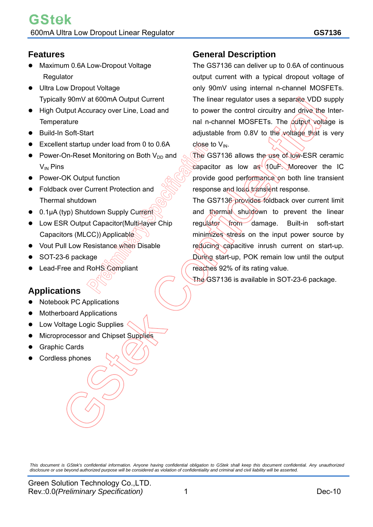### **Features**

- Maximum 0.6A Low-Dropout Voltage Regulator
- Ultra Low Dropout Voltage Typically 90mV at 600mA Output Current
- High Output Accuracy over Line, Load and **Temperature**
- Build-In Soft-Start
- Excellent startup under load from 0 to 0.6A
- Power-On-Reset Monitoring on Both  $V_{DD}$  and  $V_{IN}$  Pins
- Power-OK Output function
- Foldback over Current Protection and Thermal shutdown
- 0.1μA (typ) Shutdown Supply Current
- Low ESR Output Capacitor (Multi-layer Chip Capacitors (MLCC)) Applicable
- Vout Pull Low Resistance when Disable
- SOT-23-6 package
- Lead-Free and RoHS Compliant

# **Applications**

- Notebook PC Applications
- Motherboard Applications
- Low Voltage Logic Supplies
- Microprocessor and Chipset Supplies
- Graphic Cards
- Cordless phones

# **General Description**

The GS7136 can deliver up to 0.6A of continuous output current with a typical dropout voltage of only 90mV using internal n-channel MOSFETs. The linear regulator uses a separate VDD supply to power the control circuitry and drive the Internal n-channel MOSFETs. The output voltage is adjustable from  $0.8V$  to the voltage that is very close to  $V_{IN}$ .

The GS7136 allows the use of low-ESR ceramic capacitor as low as 10uF. Moreover the IC provide good performance on both line transient response and load transient response.

The GS7136 provides foldback over current limit and thermal shutdown to prevent the linear regulator from damage. Built-in soft-start minimizes stress on the input power source by reducing capacitive inrush current on start-up. During start-up, POK remain low until the output reaches 92% of its rating value.

The GS7136 is available in SOT-23-6 package.

*This document is GStek's confidential information. Anyone having confidential obligation to GStek shall keep this document confidential. Any unauthorized disclosure or use beyond authorized purpose will be considered as violation of confidentiality and criminal and civil liability will be asserted.*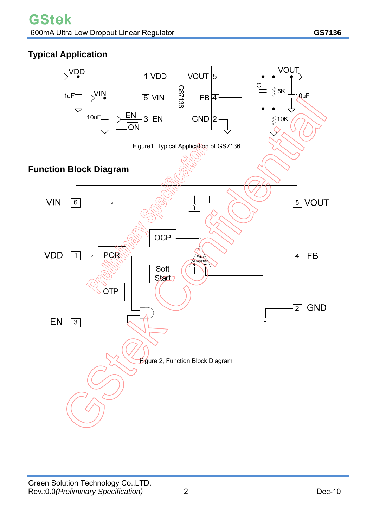# **Typical Application**

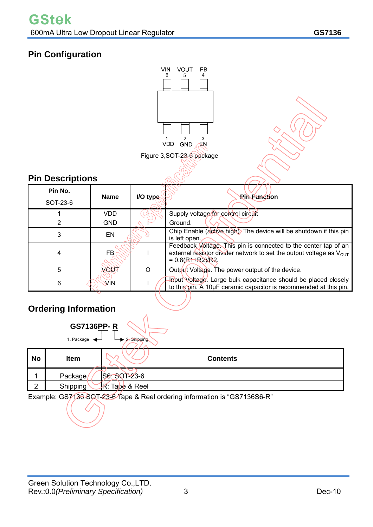# **Pin Configuration**



# **Ordering Information**

|           | <b>GS7136PP-R</b>       |                        |                 |  |
|-----------|-------------------------|------------------------|-----------------|--|
|           | 1. Package $\leftarrow$ | 2. Shipping            |                 |  |
| <b>No</b> | <b>Item</b>             |                        | <b>Contents</b> |  |
|           | Package/                | S6: SOT-23-6           |                 |  |
| ົ         | Shipping                | <b>R</b> : Tape & Reel |                 |  |

Example: GS7136 SQT-23-6 Tape & Reel ordering information is "GS7136S6-R"

 $\Lambda$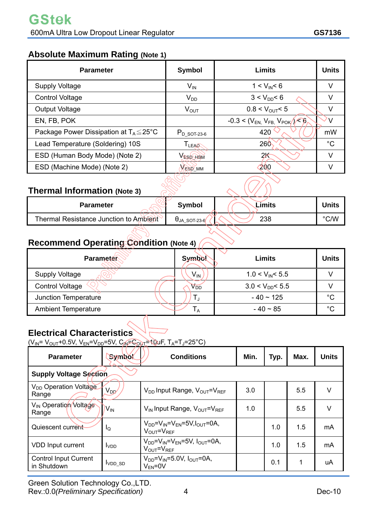## **Absolute Maximum Rating (Note 1)**

| <b>Parameter</b>                                    | <b>Symbol</b>    | Limits                                      | <b>Units</b> |
|-----------------------------------------------------|------------------|---------------------------------------------|--------------|
| <b>Supply Voltage</b>                               | $V_{IN}$         | $1 < V_{IN} < 6$                            | V            |
| <b>Control Voltage</b>                              | $V_{DD}$         | $3 < V_{DD} < 6$                            | V            |
| Output Voltage                                      | $V_{OUT}$        | $0.8 < V_{\text{OUT}} < 5$                  | V            |
| EN, FB, POK                                         |                  | $-0.3 < (V_{EN} V_{FB} V_{POK}) \leq \beta$ |              |
| Package Power Dissipation at $T_A \leq 25^{\circ}C$ | $P_{D}$ sot-23-6 | 420                                         | mW           |
| Lead Temperature (Soldering) 10S                    | TLEAR            | 260                                         | $^{\circ}C$  |
| ESD (Human Body Mode) (Note 2)                      | VespABM          | 2k                                          | v            |
| ESD (Machine Mode) (Note 2)                         | <b>VESD MM</b>   | 200                                         | V            |

# **Thermal Information (Note 3)**

| <b>Parameter</b>                       | <b>Symbol</b>  | Limits | Units |
|----------------------------------------|----------------|--------|-------|
| Thermal Resistance Junction to Ambient | $UJA$ SOT-23-6 | 238    | °C/W  |

# **Recommend Operating Condition (Note 4)**

| <b>Parameter</b>           | <b>Symbol</b>   | Limits               | <b>Units</b> |
|----------------------------|-----------------|----------------------|--------------|
| <b>Supply Voltage</b>      | V <sub>IN</sub> | $1.0 < V_{IN} < 5.5$ |              |
| <b>Control Voltage</b>     | V <sub>DD</sub> | $3.0 < V_{DD} < 5.5$ |              |
| Junction Temperature       |                 | $-40 \sim 125$       | °C           |
| <b>Ambient Temperature</b> |                 | $-40 \sim 85$        | °C           |

# **Electrical Characteristics**

 $(V_{IN} = V_{OUT} + 0.5V, V_{EN} = V_{DD} = 5V, C_{IN} = C_{OUT} = 10uF, T_A = T_J = 25°C)$ 

| <b>Parameter</b>                            | Symbol                        | <b>Conditions</b>                                                                       | Min. | Typ. | Max. | <b>Units</b> |  |
|---------------------------------------------|-------------------------------|-----------------------------------------------------------------------------------------|------|------|------|--------------|--|
|                                             | <b>Supply Voltage Section</b> |                                                                                         |      |      |      |              |  |
| V <sub>DD</sub> Operation Voltage<br>Range  | V <sub>DD</sub>               | $V_{DD}$ Input Range, $V_{OUT} = V_{REF}$                                               | 3.0  |      | 5.5  | v            |  |
| V <sub>IN</sub> Operation/Voltage<br>Range  | $V_{IN}$                      | V <sub>IN</sub> Input Range, V <sub>OUT</sub> =V <sub>REF</sub>                         | 1.0  |      | 5.5  | v            |  |
| Quiescent current                           | ΙQ                            | $V_{DD} = V_{IN} = V_{FN} = 5V, I_{OUT} = 0A,$<br>$V_{\text{OUT}} = V_{\text{REF}}$     |      | 1.0  | 1.5  | mA           |  |
| VDD Input current                           | I <sub>VDD</sub>              | $V_{DD} = V_{IN} = V_{EN} = 5V$ , $I_{OUT} = 0A$ ,<br>$V_{\text{OUT}} = V_{\text{REF}}$ |      | 1.0  | 1.5  | mA           |  |
| <b>Control Input Current</b><br>in Shutdown | $IVDD_SD$                     | $V_{DD}$ = $V_{IN}$ =5.0V, $I_{OUT}$ =0A,<br>$V_{FN} = 0V$                              |      | 0.1  | 1    | uA           |  |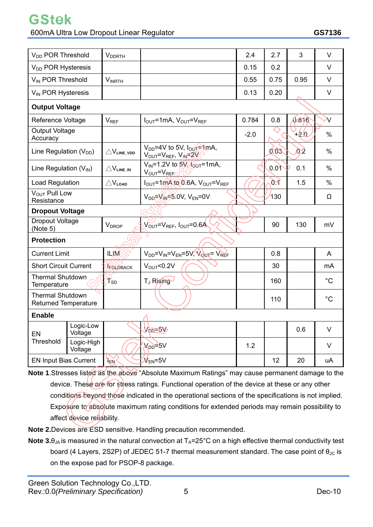600mA Ultra Low Dropout Linear Regulator **GS7136** 

GStek

| V <sub>DD</sub> POR Threshold                           |                        | <b>V</b> <sub>DDRTH</sub>        |                                                                                     | 2.4    | 2.7  | 3          | $\vee$         |
|---------------------------------------------------------|------------------------|----------------------------------|-------------------------------------------------------------------------------------|--------|------|------------|----------------|
| V <sub>DD</sub> POR Hysteresis                          |                        |                                  |                                                                                     | 0.15   | 0.2  |            | V              |
| V <sub>IN</sub> POR Threshold                           |                        | <b>VINRTH</b>                    |                                                                                     | 0.55   | 0.75 | 0.95       | $\vee$         |
| V <sub>IN</sub> POR Hysteresis                          |                        |                                  |                                                                                     | 0.13   | 0.20 |            | $\vee$         |
| <b>Output Voltage</b>                                   |                        |                                  |                                                                                     |        |      |            |                |
| Reference Voltage                                       |                        | <b>V<sub>REF</sub></b>           | $I_{OUT}$ =1mA, $V_{OUT}$ = $V_{REF}$                                               | 0.784  | 0.8  | (1,8)      | $\overline{V}$ |
| <b>Output Voltage</b><br>Accuracy                       |                        |                                  |                                                                                     | $-2.0$ |      | +2.0       | $\%$           |
| Line Regulation (V <sub>DD</sub> )                      |                        | $\triangle V_{\text{LINE\_VDD}}$ | V <sub>DD</sub> =4V to 5V, I <sub>OUT</sub> <sup>e</sup> in A,<br>VOUT=VREF, VIN=2V |        | 0.03 | <u>d:2</u> | %              |
| Line Regulation $(V_{IN})$                              |                        | $\triangle V_{\text{LINE\_IN}}$  | $V_{IN}$ =1.2V to 5V, $V_{OUT}$ =1mA,<br>VOUT <sup>=VREF</sup>                      |        | 0.01 | 0.1        | $\%$           |
| Load Regulation                                         |                        | $\triangle V_{\text{LOAD}}$      | $I_{OUT} = 1$ mA to 0.6A, $V_{OUT} = V_{REF}$                                       |        | 94   | 1.5        | $\%$           |
| $V_{OUT}$ Pull Low<br>Resistance                        |                        |                                  | $V_{DD} = V_{IN} = 5.0 V, V_{EN} = 0 V$                                             |        | 130  |            | Ω              |
|                                                         | <b>Dropout Voltage</b> |                                  |                                                                                     |        |      |            |                |
| Dropout Voltage<br><b>V</b> <sub>DROP</sub><br>(Note 5) |                        |                                  | $V_{\text{OUT}}=V_{\text{REF}}$ , $I_{\text{OUT}}=0.6A$                             |        | 90   | 130        | mV             |
| <b>Protection</b>                                       |                        |                                  |                                                                                     |        |      |            |                |
| <b>Current Limit</b>                                    |                        | <b>ILIM</b>                      | $V_{DD}$ = $V_{IN}$ = $V_{EN}$ =5 $V, V_{OUT}$ = $V_{REF}$                          |        | 0.8  |            | $\overline{A}$ |
| <b>Short Circuit Current</b>                            |                        | FOLDBACK                         | $V_{\text{OUT}}$ <0.2V                                                              |        | 30   |            | m <sub>A</sub> |
| <b>Thermal Shutdown</b><br>Temperature                  |                        | $\mathbf{F}_{\text{SD}}$         | T <sub>J</sub> Rising                                                               |        | 160  |            | $^{\circ}C$    |
| <b>Thermal Shutdown</b><br><b>Returned Temperature</b>  |                        |                                  |                                                                                     |        | 110  |            | $^{\circ}C$    |
| <b>Enable</b>                                           |                        |                                  |                                                                                     |        |      |            |                |
| EN                                                      | Logic-Low<br>Voltage   |                                  | $V_{\text{DD}}=5V$                                                                  |        |      | 0.6        | $\vee$         |
| Threshold                                               | Logic-High<br>Voltage  |                                  | $N_{DD}$ 5V                                                                         | 1.2    |      |            | V              |
| <b>EN Input Bias Current</b>                            |                        | <b>By</b>                        | $\mathcal{W}_{\text{\tiny{EN}}}$ =5V                                                |        | 12   | 20         | uA             |

**Note 1**.Stresses listed as the above "Absolute Maximum Ratings" may cause permanent damage to the device. These are for stress ratings. Functional operation of the device at these or any other conditions beyond those indicated in the operational sections of the specifications is not implied. Exposure to absolute maximum rating conditions for extended periods may remain possibility to affect device reliability.

**Note 2.**Devices are ESD sensitive. Handling precaution recommended.

**Note 3.** $\theta_{JA}$  is measured in the natural convection at  $T_A = 25^\circ \text{C}$  on a high effective thermal conductivity test board (4 Layers, 2S2P) of JEDEC 51-7 thermal measurement standard. The case point of  $\theta_{\text{JC}}$  is on the expose pad for PSOP-8 package.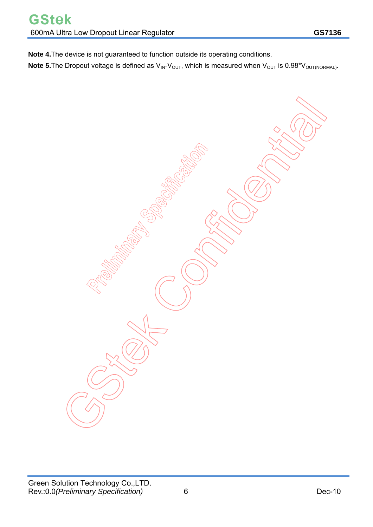**Note 4.**The device is not guaranteed to function outside its operating conditions. **Note 5.**The Dropout voltage is defined as  $V_{\text{IN}}-V_{\text{OUT}}$ , which is measured when  $V_{\text{OUT}}$  is 0.98\* $V_{\text{OUT(NORMAL)}}$ .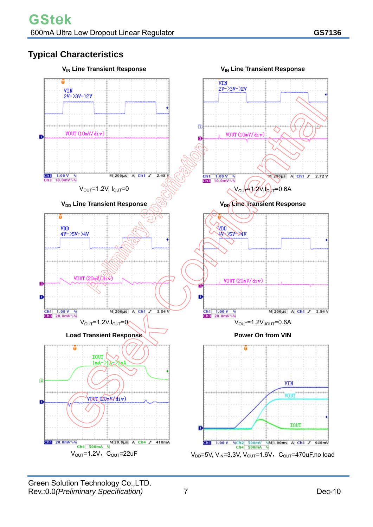# **Typical Characteristics**

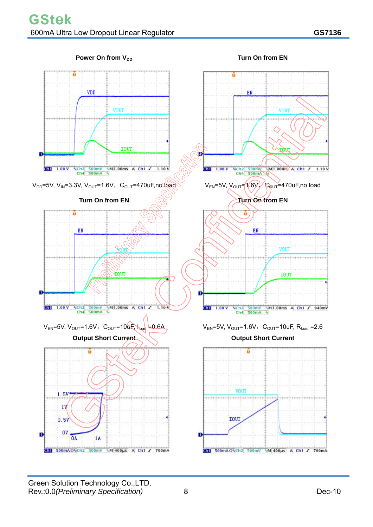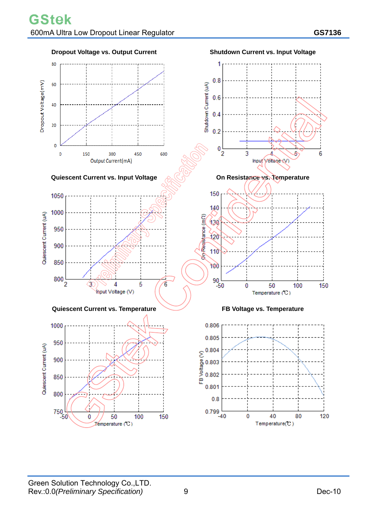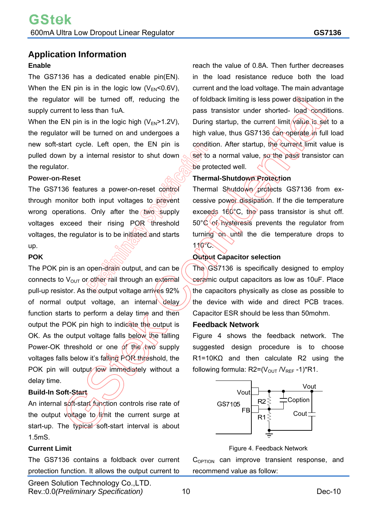#### **Enable**

The GS7136 has a dedicated enable pin(EN). When the EN pin is in the logic low  $(V_{EN}<0.6V)$ , the regulator will be turned off, reducing the supply current to less than 1uA.

When the EN pin is in the logic high  $(V_{EN} > 1.2V)$ , the regulator will be turned on and undergoes a new soft-start cycle. Left open, the EN pin is pulled down by a internal resistor to shut down the regulator.

#### **Power-on-Reset**

The GS7136 features a power-on-reset control through monitor both input voltages to prevent wrong operations. Only after the two supply voltages exceed their rising POR threshold voltages, the regulator is to be initiated and starts up.

### **POK**

The POK pin is an open-drain output, and can be connects to  $V_{\text{OUT}}$  or other rail through an external pull-up resistor. As the output voltage arrives 92% of normal output voltage, an internal delay function starts to perform a delay time and then output the POK pin high to indicate the output is OK. As the output voltage falls below the falling Power-OK threshold or one of the two supply voltages falls below it's falling POR threshold, the POK pin will output low immediately without a delay time.

### **Build-In Soft-Start**

An internal soft-start function controls rise rate of the output voltage to  $\lim_{h \to 0}$  the current surge at start-up. The typical soft-start interval is about 1.5mS.

### **Current Limit**

The GS7136 contains a foldback over current protection function. It allows the output current to

Green Solution Technology Co.,LTD. Rev.:0.0*(Preliminary Specification)* 10 Dec-10

reach the value of 0.8A. Then further decreases in the load resistance reduce both the load current and the load voltage. The main advantage of foldback limiting is less power dissipation in the pass transistor under shorted- load conditions. During startup, the current limit value is set to a high value, thus GS7136 can operate in full load condition. After startup, the current limit value is set to a normal value, so the pass transistor can be protected well.

### **Thermal-Shutdown Protection**

Thermal Shutdown protects GS7136 from excessive power dissipation. If the die temperature exceeds 160°C, the pass transistor is shut off. 50°C of hysteresis prevents the regulator from turning on until the die temperature drops to  $110^{\circ}$ C.

### **Output Capacitor selection**

The GS7136 is specifically designed to employ ceramic output capacitors as low as 10uF. Place the capacitors physically as close as possible to the device with wide and direct PCB traces. Capacitor ESR should be less than 50mohm.

#### **Feedback Network**

Figure 4 shows the feedback network. The suggested design procedure is to choose R1=10KΩ and then calculate R2 using the following formula:  $R2=(V_{\text{OUT}}/V_{\text{REF}}-1)^*R1$ .



#### Figure 4. Feedback Network

 $C_{\text{OPTION}}$  can improve transient response, and recommend value as follow: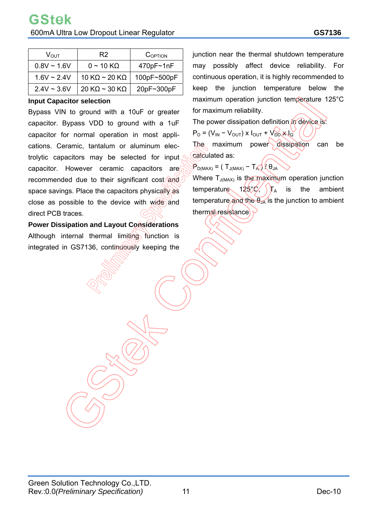| $V_{\rm OUT}$    | R <sub>2</sub>                | COPTION     |  |  |
|------------------|-------------------------------|-------------|--|--|
| $0.8V \sim 1.6V$ | $0 \sim 10 \text{ K}\Omega$   | 470pF~1nF   |  |  |
| $1.6V \sim 2.4V$ | 10 K $\Omega$ ~ 20 K $\Omega$ | 100pF~500pF |  |  |
| $2.4V \sim 3.6V$ | 20 K $\Omega$ ~ 30 K $\Omega$ | 20pF~300pF  |  |  |

#### **Input Capacitor selection**

Bypass VIN to ground with a 10uF or greater capacitor. Bypass VDD to ground with a 1uF capacitor for normal operation in most applications. Ceramic, tantalum or aluminum electrolytic capacitors may be selected for input capacitor. However ceramic capacitors are recommended due to their significant cost space savings. Place the capacitors physically as close as possible to the device with wide and direct PCB traces.

**Power Dissipation and Layout Considerations**  Although internal thermal limiting function is integrated in GS7136, continuously keeping the

junction near the thermal shutdown temperature may possibly affect device reliability. For continuous operation, it is highly recommended to keep the junction temperature below the maximum operation junction temperature 125°C for maximum reliability.

The power dissipation definition in device is:

 $P_D = (V_{IN} - V_{OUT}) \times I_{OUT} + V_{DD} \times I_Q$ 

The maximum power dissipation can be calculated as:

 $\mathcal{P}_{D(MAX)} = (T_{J(MAX)} - T_{A}) \setminus \theta_{JA}$ 

Where  $T_{J(MAX)}$  is the maximum operation junction temperature 125%,  $T_A$  is the ambient temperature and the  $\theta_{JA}$  is the junction to ambient thermal resistance.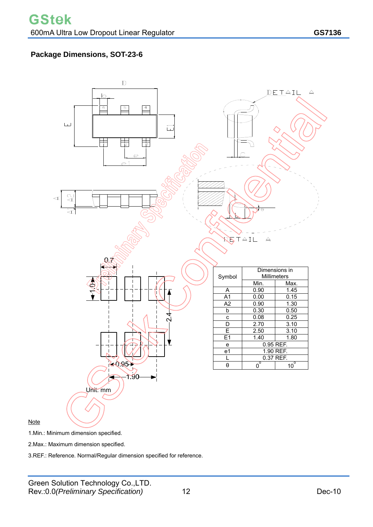### **Package Dimensions, SOT-23-6**



1.Min.: Minimum dimension specified.

**Note** 

2.Max.: Maximum dimension specified.

3.REF.: Reference. Normal/Regular dimension specified for reference.